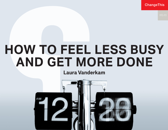**ChangeThis** 

# **HOW TO FEEL LESS BUSY AND GET MORE DONE**

#### **Laura Vanderkam**

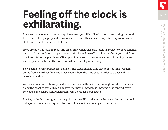## **Feeling off the clock is exhilarating.**

It is a key component of human happiness. And yet a life is lived in hours, and living the good life requires being a proper steward of those hours. This stewardship often requires choices that come from being mindful of time.

More broadly, it is hard to relax and enjoy time when there are looming projects whose constituent parts have not been mapped out, or amid the malaise of knowing swaths of your "wild and precious life," as the poet Mary Oliver puts it, are lost to the vague anxiety of traffic, aimless meetings, and such that the brain doesn't even catalog in memory.

So we come to some paradoxes. Being off the clock implies time freedom, yet time freedom stems from time discipline. You must know where the time goes in order to transcend the ceaseless ticking.

You can wander into philosophical knots on such matters, knots you might need to run miles along the coast to sort out, but I believe that part of wisdom is knowing that contradictory concepts can both be right when seen from a broader perspective.

The key is finding the right vantage point on the cliff to take in the full view, finding that lookout spot for understanding time freedom. It is about developing a new mind-set.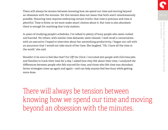There will always be tension between knowing how we spend our time and moving beyond an obsession with the minutes. Yet this tension does not mean that both aren't simultaneously possible. Honoring time requires embracing certain truths: that time is precious and time is plentiful. Time is finite, so we must make smart choices about it. But time is also abundant: there is enough for anything that truly matters.

In years of studying people's schedules, I've talked to plenty of busy people who seem rushed and harried. Yet others, with similar time demands, seem relaxed. I well recall a conversation with an executive I hoped to interview about her astonishing productivity. I began our call with an assurance that I would not take much of her time. She laughed. "Oh, I have all the time in the world," she said.

Wouldn't it be nice to feel like that? For *Off the Clock*, I recruited 900 people with full-time jobs and families to track their time for a day. I asked how they felt about their time. I analyzed the differences between people who felt starved for time, and those who felt time was abundant. Seven strategies came up again and again—and can help anyone feel less busy while getting more done.

There will always be tension between knowing how we spend our time and moving beyond an obsession with the minutes.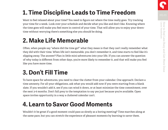### **1. Time Discipline Leads to Time Freedom**

Want to feel relaxed about your time? You need to figure out where the time really goes. Try tracking your time for a week. Look over your schedule and decide what you like and don't like. Knowing where the time goes will make you feel more in control of your time. That will allow you to enjoy your downtime without worrying there's something else you should be doing.

#### **2. Make Life Memorable**

Often, when people say "where did the time go?" what they mean is that they can't really remember what they did with their time. When life isn't memorable, you don't remember it, and time starts to feel like it's slipping away. The answer? Plan in little mini-adventures into your life. If you can answer the question of why today is different from other days, you're more likely to remember it, and that will make you feel like you have more time.

### **3. Don't Fill Time**

To have space for adventures, you need to clear the clutter from your calendar. One approach: Declare a time amnesty. For all your obligations, ask what you would add now if you were starting from a blank slate. If you wouldn't add it, see if you can wind it down, or at least minimize the time commitment, over the next 3-6 months. Don't fall prey to the temptation to say yes just because you're available. Open space invites opportunity in a way a cluttered calendar can't.

#### **4. Learn to Savor Good Moments**

Wouldn't it be great if a good moment could pass as slowly as a boring meeting? Time marches along at the same pace, but you can stretch the experience of pleasant moments by learning to savor them.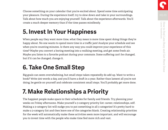Choose something on your calendar that you're excited about. Spend some time anticipating your pleasure. During the experience itself, try to slow down and take in your surroundings. Talk about how much you are enjoying yourself. Talk about the experience afterwards. You'll create a much deeper memory than if the time passes mindlessly.

### **5. Invest In Your Happiness**

When people say they want more time, what they mean is more time spent doing things they're happy about. No one wants to spend more time in a traffic jam! Analyze your schedule and see when you're counting minutes. Is there any way you could improve your experience of this time? Maybe you convert a boring meeting into a walking meeting, and get some fresh air. Maybe you listen to a favorite podcast during your commute. Some suffering can't be changed, but if it can be changed, change it.

### **6. Take One Small Step**

Big goals can seem overwhelming, but small steps taken repeatedly do add up. Want to write a book? Write 500 words a day, and you'll have a draft in a year. Rather than lament all you're not doing, be gentle on yourself and celebrate consistent small steps. You'll probably get more done.

### **7. Make Relationships a Priority**

The happiest people make space in their schedules for family and friends. Try planning your weeks on Friday afternoons. Make yourself a 3-category priority list: career, relationships, self. Making a 3-category list will nudge you to put something in all 3 categories! It's pretty hard to make a 3-category list and then leave one of the categories blank. Creating relationship priorities for the week will automatically make these activities seem more important, and will encourage you to invest time with the people who make time feel more rich and vast.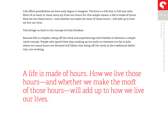Life offers possibilities we have only begun to imagine. The lure is a life that is full and calm. Most of us want to claim more joy from our hours for this simple reason: a life is made of hours. How we live those hours—and whether we make the most of those hours—will add up to how we live our lives.

This brings us back to the concept of time freedom.

Because life is complex, being off the clock and experiencing time freedom is likewise a complicated concept. People who spend their days waking up too early to commute too far to jobs where too many hours are dictated will likely view being off the clock as the traditional definition: not working.

A life is made of hours. How we live those hours—and whether we make the most of those hours—will add up to how we live our lives.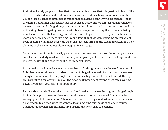And yet as I study people who feel that time is abundant, I see that it is possible to feel off the clock even while doing paid work. When you are absorbed in solving an interesting problem, you can lose all sense of time, just as might happen during a dinner with old friends. And in arranging that dinner with old friends, we soon see that while we can feel relaxed when we have no time-specific obligations, sometimes having plans can make us feel more relaxed than not having plans. Lingering over wine with friends requires inviting them over, and being mindful of the time that will happen, but then once they are there we enjoy ourselves so much more, and feel so much more like time is abundant, than if we were spending an equivalent evening doing what most people do when they have nothing on the calendar: watching TV or glancing at their phones just often enough to feel on edge.

Sometimes commitments literally give us more time. In one of the most famous experiments in social science, elderly residents of a nursing home given plants to care for lived longer and were in better health than those without such responsibilities.

Better health and longevity means you are free to do things you otherwise would not be able to. This phenomenon shows up in other contexts of obligation as well. A strong marriage meets enough emotional needs that people feel free to take big risks in the outside world. Having children takes a ton of work, and yet the emotional intensity of raising them can slow time down, if you open yourself to that possibility.

Perhaps this sounds like another paradox: freedom does not mean having zero obligations, but I think it's helpful to see that freedom is multifaceted. It must be viewed from a broader vantage point to be understood. There is freedom from things we don't want to do, but there is also freedom to do the things we want to do, and figuring out the right balance requires understanding when commitments are burdens and when they are benefits.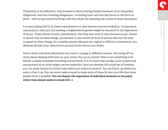Ultimately, in my definition, time freedom is about having blissful moments of no immediate obligations, and also choosing obligations—including lines cast into the future in the form of plans—with an eye toward building a life that allows for meaning and a sense of time's abundance.

It is about going full-in on these commitments so they become sources of identity. Caring about community is abstract, but tending a neighborhood garden might be the proof in the experience of hours. These choices involve commitments, but they also stretch time, because as you choose to spend time on these things, you become in your mind the kind of person who has the time to spend on these things. As a wealthy person allocates her capital to different investments, you likewise allocate your resources in pursuit of the returns you desire.

Time is fluid, and these allocations may need to change in different seasons. But being off the clock means dealing with time on your terms. You are in control. Time is not something to be feared, a steady drumbeat marching toward doom. It is no more than an idea, to be studied and manipulated as an artist might use her materials. Once you develop this mind-set of freedom, you can make choices to stretch time where you wish it to stretch. You can free it up where you wish to free it up. You can move tasks around to make more of them fit into your life than most people think is possible. **You can deepen the experience of individual moments to the point where time almost seems to stand still.**